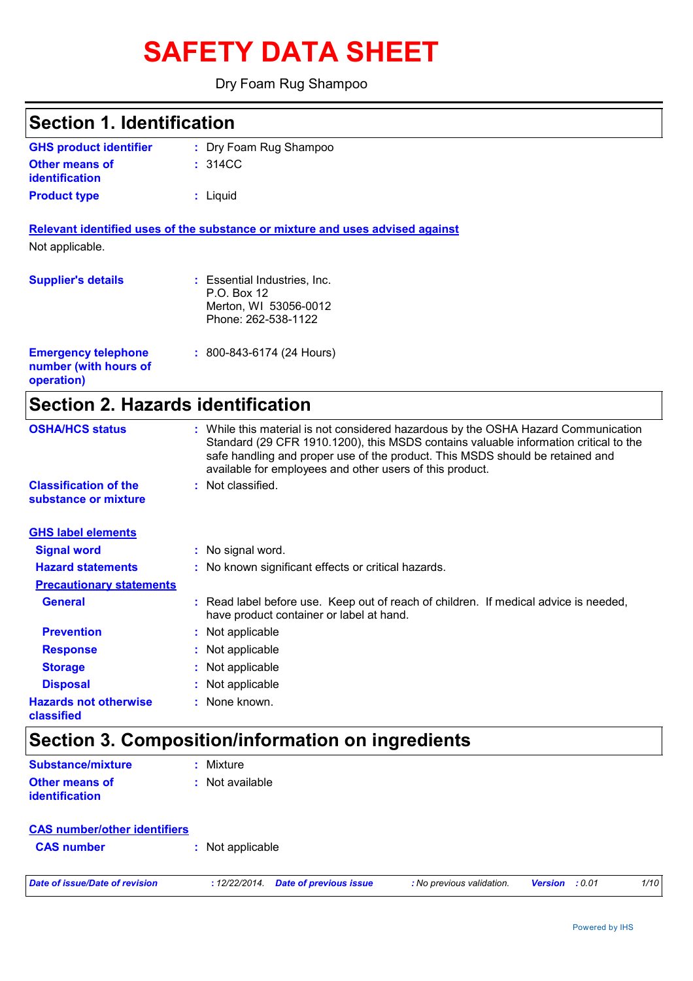# **SAFETY DATA SHEET**

#### Dry Foam Rug Shampoo

| <b>Section 1. Identification</b>                                  |                                                                                                                                                                                                                                                                                                                         |
|-------------------------------------------------------------------|-------------------------------------------------------------------------------------------------------------------------------------------------------------------------------------------------------------------------------------------------------------------------------------------------------------------------|
| <b>GHS product identifier</b>                                     | : Dry Foam Rug Shampoo                                                                                                                                                                                                                                                                                                  |
| <b>Other means of</b><br><b>identification</b>                    | : 314CC                                                                                                                                                                                                                                                                                                                 |
| <b>Product type</b>                                               | : Liquid                                                                                                                                                                                                                                                                                                                |
|                                                                   | Relevant identified uses of the substance or mixture and uses advised against                                                                                                                                                                                                                                           |
| Not applicable.                                                   |                                                                                                                                                                                                                                                                                                                         |
| <b>Supplier's details</b>                                         | : Essential Industries, Inc.<br>P.O. Box 12<br>Merton, WI 53056-0012<br>Phone: 262-538-1122                                                                                                                                                                                                                             |
| <b>Emergency telephone</b><br>number (with hours of<br>operation) | $: 800 - 843 - 6174$ (24 Hours)                                                                                                                                                                                                                                                                                         |
| <b>Section 2. Hazards identification</b>                          |                                                                                                                                                                                                                                                                                                                         |
| <b>OSHA/HCS status</b>                                            | : While this material is not considered hazardous by the OSHA Hazard Communication<br>Standard (29 CFR 1910.1200), this MSDS contains valuable information critical to the<br>safe handling and proper use of the product. This MSDS should be retained and<br>available for employees and other users of this product. |
| <b>Classification of the</b><br>substance or mixture              | : Not classified.                                                                                                                                                                                                                                                                                                       |
| <b>GHS label elements</b>                                         |                                                                                                                                                                                                                                                                                                                         |
| <b>Signal word</b>                                                | : No signal word.                                                                                                                                                                                                                                                                                                       |
| <b>Hazard statements</b>                                          | : No known significant effects or critical hazards.                                                                                                                                                                                                                                                                     |
| <b>Precautionary statements</b>                                   |                                                                                                                                                                                                                                                                                                                         |
| <b>General</b>                                                    | : Read label before use. Keep out of reach of children. If medical advice is needed,<br>have product container or label at hand.                                                                                                                                                                                        |
| <b>Prevention</b>                                                 | Not applicable                                                                                                                                                                                                                                                                                                          |
| <b>Response</b>                                                   | Not applicable                                                                                                                                                                                                                                                                                                          |
| <b>Storage</b>                                                    | Not applicable                                                                                                                                                                                                                                                                                                          |
| <b>Disposal</b>                                                   | Not applicable                                                                                                                                                                                                                                                                                                          |
| <b>Hazards not otherwise</b><br>classified                        | None known.                                                                                                                                                                                                                                                                                                             |
|                                                                   | Section 3. Composition/information on ingredients                                                                                                                                                                                                                                                                       |
| <b>Substance/mixture</b>                                          | : Mixture                                                                                                                                                                                                                                                                                                               |

| <b>Substance/mixture</b> | : Mixture       |
|--------------------------|-----------------|
| <b>Other means of</b>    | : Not available |
| <b>identification</b>    |                 |

| <b>CAS number/other identifiers</b> |                  |  |
|-------------------------------------|------------------|--|
| <b>CAS number</b>                   | : Not applicable |  |
|                                     |                  |  |

*Date of issue/Date of revision* **:** *12/22/2014. Date of previous issue : No previous validation. Version : 0.01 1/10*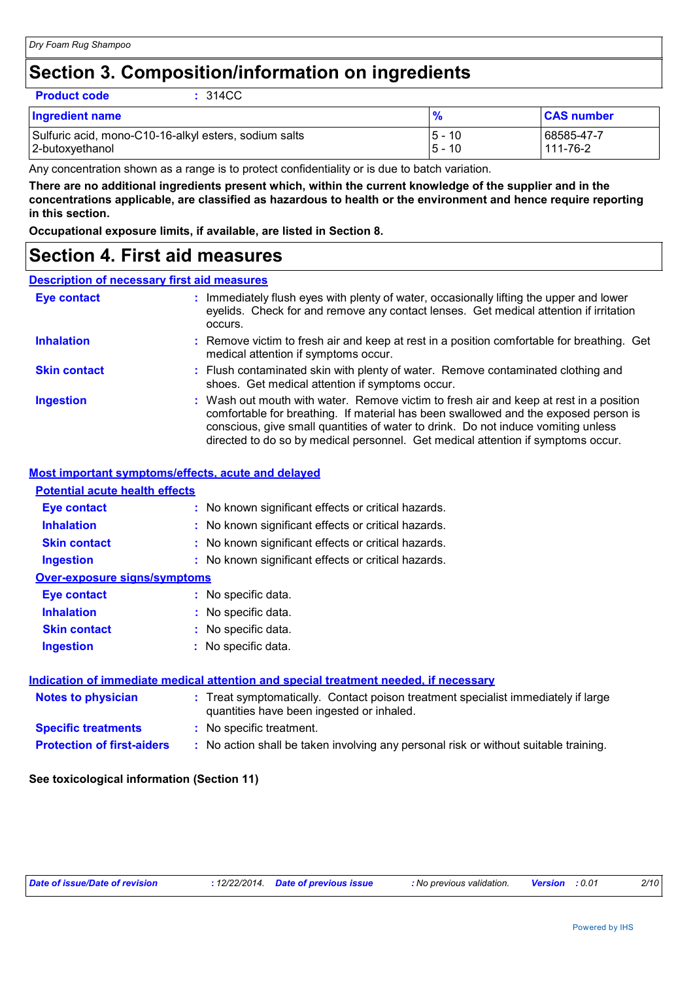### **Section 3. Composition/information on ingredients**

|  | <b>Product code</b> |
|--|---------------------|
|  |                     |
|  |                     |

**Product code :** 314CC

| <b>Ingredient name</b>                                |          | <b>CAS number</b> |
|-------------------------------------------------------|----------|-------------------|
| Sulfuric acid, mono-C10-16-alkyl esters, sodium salts | 5 - 10   | 68585-47-7        |
| 2-butoxyethanol                                       | $5 - 10$ | 111-76-2          |

Any concentration shown as a range is to protect confidentiality or is due to batch variation.

**There are no additional ingredients present which, within the current knowledge of the supplier and in the concentrations applicable, are classified as hazardous to health or the environment and hence require reporting in this section.**

**Occupational exposure limits, if available, are listed in Section 8.**

### **Section 4. First aid measures**

#### **Description of necessary first aid measures**

| <b>Eye contact</b>  | : Immediately flush eyes with plenty of water, occasionally lifting the upper and lower<br>eyelids. Check for and remove any contact lenses. Get medical attention if irritation<br>occurs.                                                                                                                                                            |
|---------------------|--------------------------------------------------------------------------------------------------------------------------------------------------------------------------------------------------------------------------------------------------------------------------------------------------------------------------------------------------------|
| <b>Inhalation</b>   | : Remove victim to fresh air and keep at rest in a position comfortable for breathing. Get<br>medical attention if symptoms occur.                                                                                                                                                                                                                     |
| <b>Skin contact</b> | : Flush contaminated skin with plenty of water. Remove contaminated clothing and<br>shoes. Get medical attention if symptoms occur.                                                                                                                                                                                                                    |
| <b>Ingestion</b>    | : Wash out mouth with water. Remove victim to fresh air and keep at rest in a position<br>comfortable for breathing. If material has been swallowed and the exposed person is<br>conscious, give small quantities of water to drink. Do not induce vomiting unless<br>directed to do so by medical personnel. Get medical attention if symptoms occur. |

#### **Most important symptoms/effects, acute and delayed**

| <b>Potential acute health effects</b> |                                                                                                                                |
|---------------------------------------|--------------------------------------------------------------------------------------------------------------------------------|
| <b>Eye contact</b>                    | : No known significant effects or critical hazards.                                                                            |
| <b>Inhalation</b>                     | : No known significant effects or critical hazards.                                                                            |
| <b>Skin contact</b>                   | : No known significant effects or critical hazards.                                                                            |
| <b>Ingestion</b>                      | : No known significant effects or critical hazards.                                                                            |
| <b>Over-exposure signs/symptoms</b>   |                                                                                                                                |
| Eye contact                           | : No specific data.                                                                                                            |
| <b>Inhalation</b>                     | : No specific data.                                                                                                            |
| <b>Skin contact</b>                   | : No specific data.                                                                                                            |
| <b>Ingestion</b>                      | : No specific data.                                                                                                            |
|                                       | Indication of immediate medical attention and special treatment needed, if necessary                                           |
| <b>Notes to physician</b>             | : Treat symptomatically. Contact poison treatment specialist immediately if large<br>quantities have been ingested or inhaled. |
| <b>Specific treatments</b>            | : No specific treatment.                                                                                                       |
| <b>Protection of first-aiders</b>     | : No action shall be taken involving any personal risk or without suitable training.                                           |

#### **See toxicological information (Section 11)**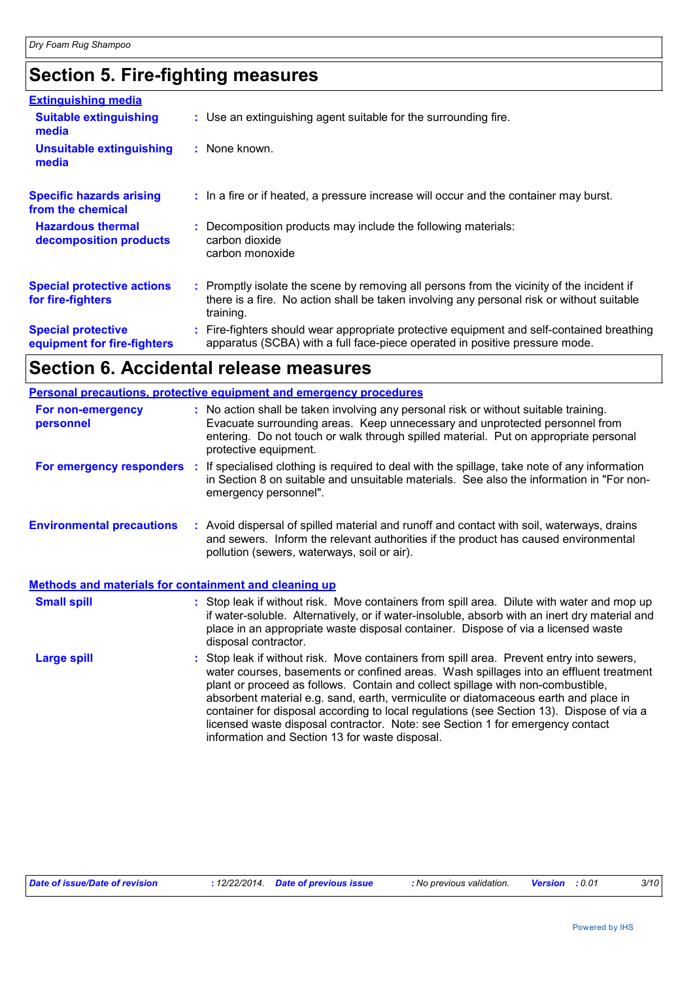## **Section 5. Fire-fighting measures**

| <b>Extinguishing media</b>                               |                                                                                                                                                                                                     |
|----------------------------------------------------------|-----------------------------------------------------------------------------------------------------------------------------------------------------------------------------------------------------|
| <b>Suitable extinguishing</b><br>media                   | : Use an extinguishing agent suitable for the surrounding fire.                                                                                                                                     |
| <b>Unsuitable extinguishing</b><br>media                 | : None known.                                                                                                                                                                                       |
| <b>Specific hazards arising</b><br>from the chemical     | : In a fire or if heated, a pressure increase will occur and the container may burst.                                                                                                               |
| <b>Hazardous thermal</b><br>decomposition products       | : Decomposition products may include the following materials:<br>carbon dioxide<br>carbon monoxide                                                                                                  |
| <b>Special protective actions</b><br>for fire-fighters   | : Promptly isolate the scene by removing all persons from the vicinity of the incident if<br>there is a fire. No action shall be taken involving any personal risk or without suitable<br>training. |
| <b>Special protective</b><br>equipment for fire-fighters | : Fire-fighters should wear appropriate protective equipment and self-contained breathing<br>apparatus (SCBA) with a full face-piece operated in positive pressure mode.                            |

### **Section 6. Accidental release measures**

|                                                       | Personal precautions, protective equipment and emergency procedures                                                                                                                                                                                                                                                                                                                                                                                                                                                                                                                      |  |  |
|-------------------------------------------------------|------------------------------------------------------------------------------------------------------------------------------------------------------------------------------------------------------------------------------------------------------------------------------------------------------------------------------------------------------------------------------------------------------------------------------------------------------------------------------------------------------------------------------------------------------------------------------------------|--|--|
| For non-emergency<br>personnel                        | : No action shall be taken involving any personal risk or without suitable training.<br>Evacuate surrounding areas. Keep unnecessary and unprotected personnel from<br>entering. Do not touch or walk through spilled material. Put on appropriate personal<br>protective equipment.                                                                                                                                                                                                                                                                                                     |  |  |
| For emergency responders :                            | If specialised clothing is required to deal with the spillage, take note of any information<br>in Section 8 on suitable and unsuitable materials. See also the information in "For non-<br>emergency personnel".                                                                                                                                                                                                                                                                                                                                                                         |  |  |
| <b>Environmental precautions</b>                      | : Avoid dispersal of spilled material and runoff and contact with soil, waterways, drains<br>and sewers. Inform the relevant authorities if the product has caused environmental<br>pollution (sewers, waterways, soil or air).                                                                                                                                                                                                                                                                                                                                                          |  |  |
| Methods and materials for containment and cleaning up |                                                                                                                                                                                                                                                                                                                                                                                                                                                                                                                                                                                          |  |  |
| <b>Small spill</b>                                    | : Stop leak if without risk. Move containers from spill area. Dilute with water and mop up<br>if water-soluble. Alternatively, or if water-insoluble, absorb with an inert dry material and<br>place in an appropriate waste disposal container. Dispose of via a licensed waste<br>disposal contractor.                                                                                                                                                                                                                                                                                 |  |  |
| <b>Large spill</b>                                    | Stop leak if without risk. Move containers from spill area. Prevent entry into sewers,<br>water courses, basements or confined areas. Wash spillages into an effluent treatment<br>plant or proceed as follows. Contain and collect spillage with non-combustible,<br>absorbent material e.g. sand, earth, vermiculite or diatomaceous earth and place in<br>container for disposal according to local regulations (see Section 13). Dispose of via a<br>licensed waste disposal contractor. Note: see Section 1 for emergency contact<br>information and Section 13 for waste disposal. |  |  |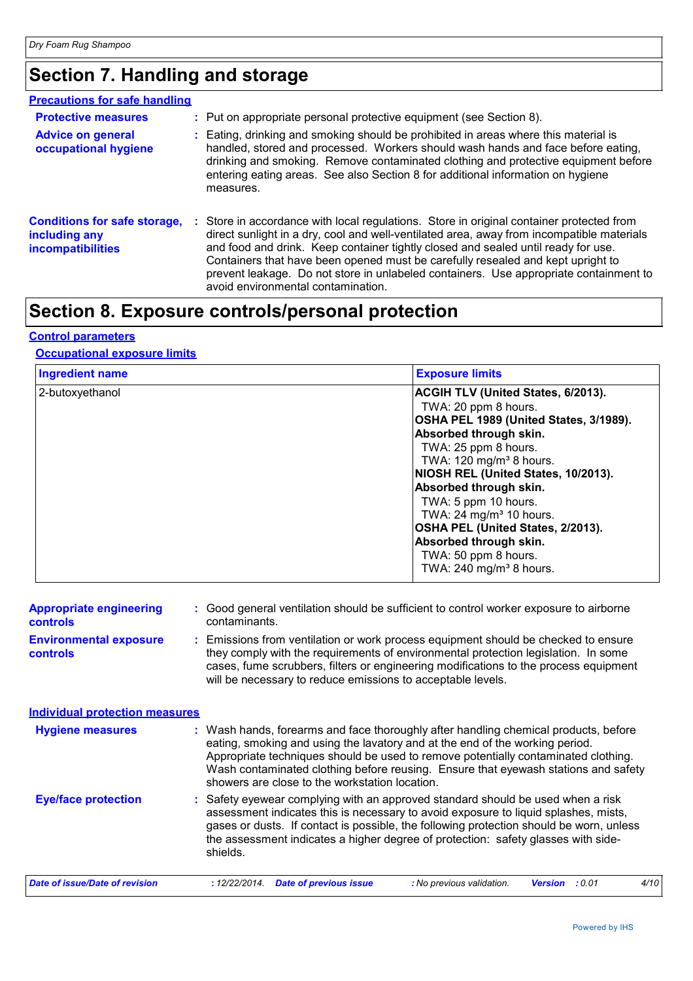## **Section 7. Handling and storage**

| <b>Precautions for safe handling</b>                                             |                                                                                                                                                                                                                                                                                                                                                                                                                                                                                              |
|----------------------------------------------------------------------------------|----------------------------------------------------------------------------------------------------------------------------------------------------------------------------------------------------------------------------------------------------------------------------------------------------------------------------------------------------------------------------------------------------------------------------------------------------------------------------------------------|
| <b>Protective measures</b>                                                       | : Put on appropriate personal protective equipment (see Section 8).                                                                                                                                                                                                                                                                                                                                                                                                                          |
| <b>Advice on general</b><br>occupational hygiene                                 | : Eating, drinking and smoking should be prohibited in areas where this material is<br>handled, stored and processed. Workers should wash hands and face before eating,<br>drinking and smoking. Remove contaminated clothing and protective equipment before<br>entering eating areas. See also Section 8 for additional information on hygiene<br>measures.                                                                                                                                |
| <b>Conditions for safe storage,</b><br>including any<br><b>incompatibilities</b> | : Store in accordance with local regulations. Store in original container protected from<br>direct sunlight in a dry, cool and well-ventilated area, away from incompatible materials<br>and food and drink. Keep container tightly closed and sealed until ready for use.<br>Containers that have been opened must be carefully resealed and kept upright to<br>prevent leakage. Do not store in unlabeled containers. Use appropriate containment to<br>avoid environmental contamination. |

## **Section 8. Exposure controls/personal protection**

#### **Control parameters**

#### **Occupational exposure limits**

| <b>Ingredient name</b> | <b>Exposure limits</b>                                                                                                                                                                                                                                                                                                                                                                                                                                      |
|------------------------|-------------------------------------------------------------------------------------------------------------------------------------------------------------------------------------------------------------------------------------------------------------------------------------------------------------------------------------------------------------------------------------------------------------------------------------------------------------|
| 2-butoxyethanol        | ACGIH TLV (United States, 6/2013).<br>TWA: 20 ppm 8 hours.<br>OSHA PEL 1989 (United States, 3/1989).<br>Absorbed through skin.<br>TWA: 25 ppm 8 hours.<br>TWA: 120 mg/m <sup>3</sup> 8 hours.<br>NIOSH REL (United States, 10/2013).<br>Absorbed through skin.<br>TWA: 5 ppm 10 hours.<br>TWA: 24 mg/m <sup>3</sup> 10 hours.<br>OSHA PEL (United States, 2/2013).<br>Absorbed through skin.<br>TWA: 50 ppm 8 hours.<br>TWA: 240 mg/m <sup>3</sup> 8 hours. |

| <b>Appropriate engineering</b><br><b>controls</b> | : Good general ventilation should be sufficient to control worker exposure to airborne<br>contaminants.                                                                                                                                                                                                                                                                                           |
|---------------------------------------------------|---------------------------------------------------------------------------------------------------------------------------------------------------------------------------------------------------------------------------------------------------------------------------------------------------------------------------------------------------------------------------------------------------|
| <b>Environmental exposure</b><br><b>controls</b>  | : Emissions from ventilation or work process equipment should be checked to ensure<br>they comply with the requirements of environmental protection legislation. In some<br>cases, fume scrubbers, filters or engineering modifications to the process equipment<br>will be necessary to reduce emissions to acceptable levels.                                                                   |
| <b>Individual protection measures</b>             |                                                                                                                                                                                                                                                                                                                                                                                                   |
| <b>Hygiene measures</b>                           | : Wash hands, forearms and face thoroughly after handling chemical products, before<br>eating, smoking and using the lavatory and at the end of the working period.<br>Appropriate techniques should be used to remove potentially contaminated clothing.<br>Wash contaminated clothing before reusing. Ensure that eyewash stations and safety<br>showers are close to the workstation location. |
| <b>Eye/face protection</b>                        | : Safety eyewear complying with an approved standard should be used when a risk<br>assessment indicates this is necessary to avoid exposure to liquid splashes, mists,<br>gases or dusts. If contact is possible, the following protection should be worn, unless<br>the assessment indicates a higher degree of protection: safety glasses with side-<br>shields.                                |
| Date of issue/Date of revision                    | <b>Date of previous issue</b><br>: No previous validation.<br>4/10<br>: 12/22/2014.<br><b>Version</b><br>: 0.01                                                                                                                                                                                                                                                                                   |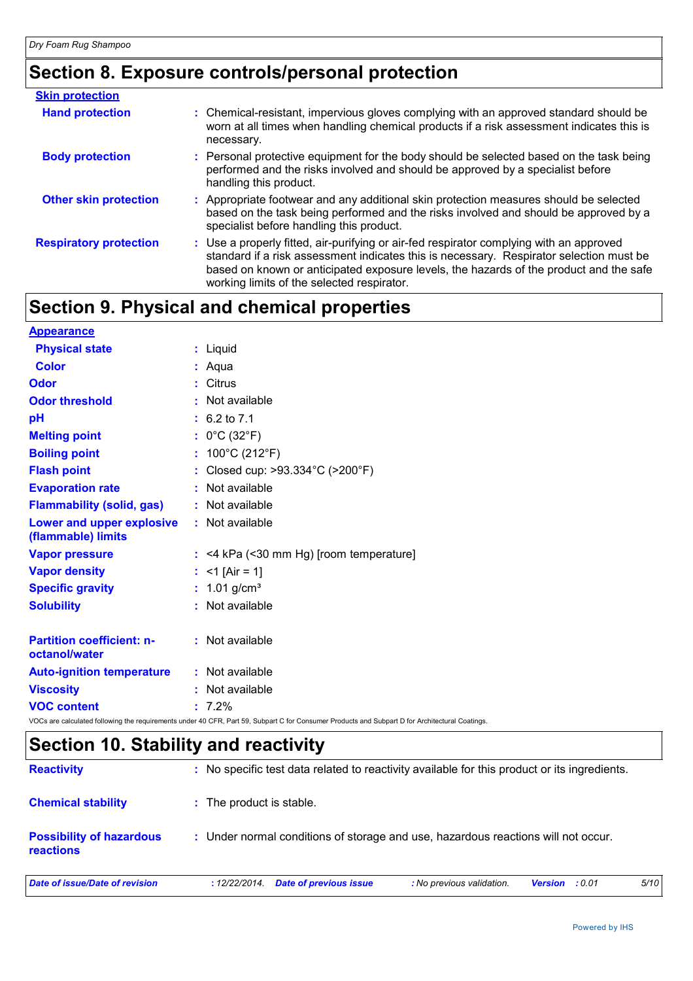## **Section 8. Exposure controls/personal protection**

| <b>Skin protection</b>        |                                                                                                                                                                                                                                                                                                                            |
|-------------------------------|----------------------------------------------------------------------------------------------------------------------------------------------------------------------------------------------------------------------------------------------------------------------------------------------------------------------------|
| <b>Hand protection</b>        | : Chemical-resistant, impervious gloves complying with an approved standard should be<br>worn at all times when handling chemical products if a risk assessment indicates this is<br>necessary.                                                                                                                            |
| <b>Body protection</b>        | : Personal protective equipment for the body should be selected based on the task being<br>performed and the risks involved and should be approved by a specialist before<br>handling this product.                                                                                                                        |
| <b>Other skin protection</b>  | : Appropriate footwear and any additional skin protection measures should be selected<br>based on the task being performed and the risks involved and should be approved by a<br>specialist before handling this product.                                                                                                  |
| <b>Respiratory protection</b> | : Use a properly fitted, air-purifying or air-fed respirator complying with an approved<br>standard if a risk assessment indicates this is necessary. Respirator selection must be<br>based on known or anticipated exposure levels, the hazards of the product and the safe<br>working limits of the selected respirator. |

## **Section 9. Physical and chemical properties**

| <b>Appearance</b>                                 |                                                                                                                                                 |
|---------------------------------------------------|-------------------------------------------------------------------------------------------------------------------------------------------------|
| <b>Physical state</b>                             | : Liquid                                                                                                                                        |
| <b>Color</b>                                      | : Aqua                                                                                                                                          |
| Odor                                              | : Citrus                                                                                                                                        |
| <b>Odor threshold</b>                             | : Not available                                                                                                                                 |
| pH                                                | $: 6.2 \text{ to } 7.1$                                                                                                                         |
| <b>Melting point</b>                              | : $0^{\circ}$ C (32 $^{\circ}$ F)                                                                                                               |
| <b>Boiling point</b>                              | : $100^{\circ}$ C (212 $^{\circ}$ F)                                                                                                            |
| <b>Flash point</b>                                | : Closed cup: >93.334°C (>200°F)                                                                                                                |
| <b>Evaporation rate</b>                           | : Not available                                                                                                                                 |
| <b>Flammability (solid, gas)</b>                  | : Not available                                                                                                                                 |
| Lower and upper explosive<br>(flammable) limits   | : Not available                                                                                                                                 |
| <b>Vapor pressure</b>                             | $:$ <4 kPa (<30 mm Hg) [room temperature]                                                                                                       |
| <b>Vapor density</b>                              | : $<$ 1 [Air = 1]                                                                                                                               |
| <b>Specific gravity</b>                           | : $1.01$ g/cm <sup>3</sup>                                                                                                                      |
| <b>Solubility</b>                                 | : Not available                                                                                                                                 |
| <b>Partition coefficient: n-</b><br>octanol/water | : Not available                                                                                                                                 |
| <b>Auto-ignition temperature</b>                  | : Not available                                                                                                                                 |
| <b>Viscosity</b>                                  | : Not available                                                                                                                                 |
| <b>VOC content</b>                                | $: 7.2\%$                                                                                                                                       |
|                                                   | VOCs are calculated following the requirements under 40 CFR, Part 59, Subpart C for Consumer Products and Subpart D for Architectural Coatings. |

## **Section 10. Stability and reactivity**

| <b>Reactivity</b>                                   | : No specific test data related to reactivity available for this product or its ingredients. |                           |                       |      |
|-----------------------------------------------------|----------------------------------------------------------------------------------------------|---------------------------|-----------------------|------|
| <b>Chemical stability</b>                           | : The product is stable.                                                                     |                           |                       |      |
| <b>Possibility of hazardous</b><br><b>reactions</b> | : Under normal conditions of storage and use, hazardous reactions will not occur.            |                           |                       |      |
| Date of issue/Date of revision                      | Date of previous issue<br>: 12/22/2014.                                                      | : No previous validation. | <b>Version</b> : 0.01 | 5/10 |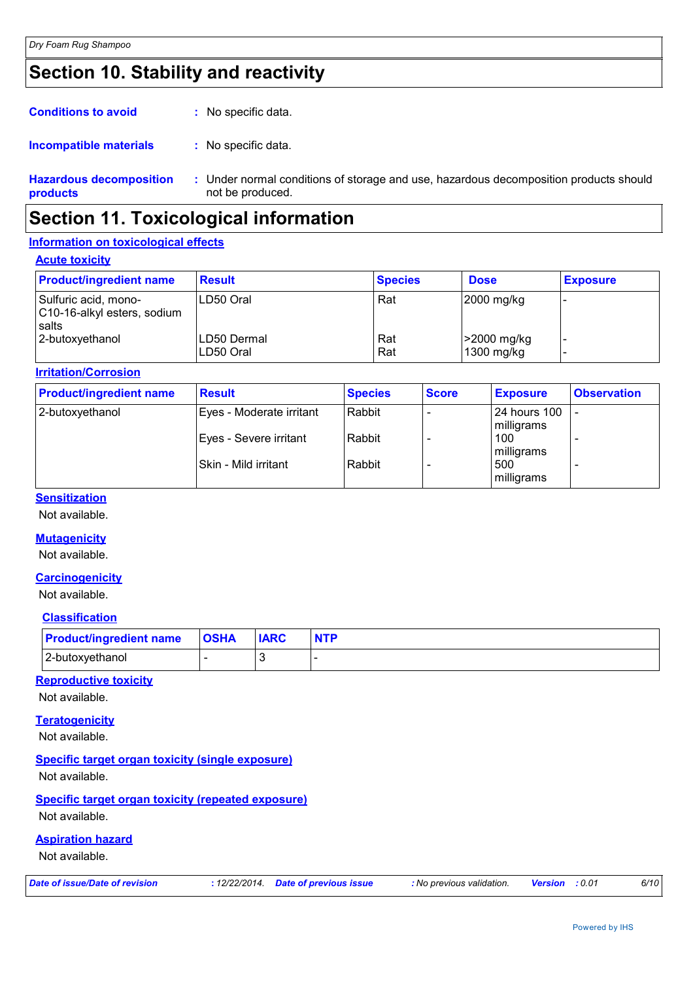## **Section 10. Stability and reactivity**

| <b>Conditions to avoid</b><br>: No specific data. |  |
|---------------------------------------------------|--|
|---------------------------------------------------|--|

#### : No specific data. **Incompatible materials :**

**Hazardous decomposition products** Under normal conditions of storage and use, hazardous decomposition products should **:** not be produced.

### **Section 11. Toxicological information**

#### **Information on toxicological effects**

#### **Acute toxicity**

| <b>Product/ingredient name</b>                               | <b>Result</b>              | <b>Species</b> | <b>Dose</b>               | <b>Exposure</b> |
|--------------------------------------------------------------|----------------------------|----------------|---------------------------|-----------------|
| Sulfuric acid, mono-<br>C10-16-alkyl esters, sodium<br>salts | LD50 Oral                  | Rat            | 2000 mg/kg                |                 |
| 2-butoxyethanol                                              | ILD50 Dermal<br>ILD50 Oral | Rat<br>Rat     | >2000 mg/kg<br>1300 mg/kg |                 |

#### **Irritation/Corrosion**

| <b>Product/ingredient name</b> | <b>Result</b>            | <b>Species</b> | <b>Score</b> | <b>Exposure</b>            | <b>Observation</b> |
|--------------------------------|--------------------------|----------------|--------------|----------------------------|--------------------|
| 2-butoxyethanol                | Eyes - Moderate irritant | Rabbit         |              | 24 hours 100<br>milligrams |                    |
|                                | Eyes - Severe irritant   | Rabbit         |              | 100<br>milligrams          |                    |
|                                | Skin - Mild irritant     | Rabbit         |              | 500<br>milligrams          |                    |

#### **Sensitization**

Not available.

#### **Mutagenicity**

Not available.

#### **Carcinogenicity**

Not available.

#### **Classification**

| <b>Product/ingredient name OSHA</b> | <b>IARC</b> | <b>NTP</b> |
|-------------------------------------|-------------|------------|
| 2-butoxyethanol                     |             |            |

#### **Reproductive toxicity**

Not available.

#### **Teratogenicity**

Not available.

#### **Specific target organ toxicity (single exposure)**

Not available.

**Specific target organ toxicity (repeated exposure)** Not available.

#### **Aspiration hazard**

Not available.

| Date of issue/Date of revision | : 12/22/2014. Date of previous issue | : No previous validation. | <b>Version</b> : 0.01 | 6/10 |
|--------------------------------|--------------------------------------|---------------------------|-----------------------|------|
|                                |                                      |                           |                       |      |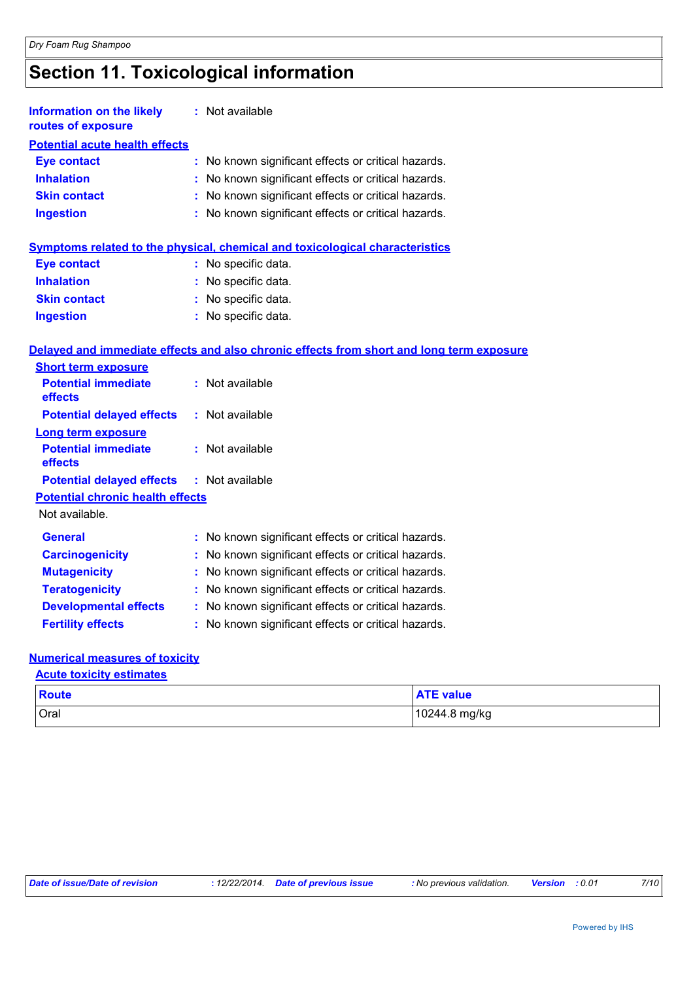## **Section 11. Toxicological information**

| <b>Information on the likely</b><br>routes of exposure | : Not available                                                             |
|--------------------------------------------------------|-----------------------------------------------------------------------------|
| <b>Potential acute health effects</b>                  |                                                                             |
| Eye contact                                            | : No known significant effects or critical hazards.                         |
| <b>Inhalation</b>                                      | : No known significant effects or critical hazards.                         |
| <b>Skin contact</b>                                    | : No known significant effects or critical hazards.                         |
| <b>Ingestion</b>                                       | : No known significant effects or critical hazards.                         |
|                                                        |                                                                             |
|                                                        | Symptome related to the physical chemical and toxicological characteristics |

#### **Symptoms related to the physical, chemical and toxicological characteristics**

| <b>Eye contact</b>  | : No specific data.   |
|---------------------|-----------------------|
| <b>Inhalation</b>   | : No specific data.   |
| <b>Skin contact</b> | : No specific data.   |
| <b>Ingestion</b>    | $:$ No specific data. |

#### **Delayed and immediate effects and also chronic effects from short and long term exposure**

| <b>Short term exposure</b>                       |                          |
|--------------------------------------------------|--------------------------|
| <b>Potential immediate</b><br>effects            | : Not available          |
| <b>Potential delayed effects</b>                 | : Not available          |
| Long term exposure                               |                          |
| <b>Potential immediate</b><br>effects            | $:$ Not available        |
| <b>Potential delayed effects : Not available</b> |                          |
| <b>Potential chronic health effects</b>          |                          |
| Not available.                                   |                          |
| $P - - - - -$                                    | . Na kasuma sianifisanta |

| <b>General</b>               | : No known significant effects or critical hazards. |
|------------------------------|-----------------------------------------------------|
| <b>Carcinogenicity</b>       | : No known significant effects or critical hazards. |
| <b>Mutagenicity</b>          | : No known significant effects or critical hazards. |
| <b>Teratogenicity</b>        | : No known significant effects or critical hazards. |
| <b>Developmental effects</b> | : No known significant effects or critical hazards. |

#### **Fertility effects :** No known significant effects or critical hazards.

#### **Numerical measures of toxicity**

**Acute toxicity estimates**

| Route | <b>ATF</b> value |  |
|-------|------------------|--|
| Oral  | 10244.8 mg/kg    |  |

| Date of issue/Date of revision | : 12/22/2014. Date of previous issue | : No previous validation. | <b>Version</b> : 0.01 | 7/10 |
|--------------------------------|--------------------------------------|---------------------------|-----------------------|------|
|--------------------------------|--------------------------------------|---------------------------|-----------------------|------|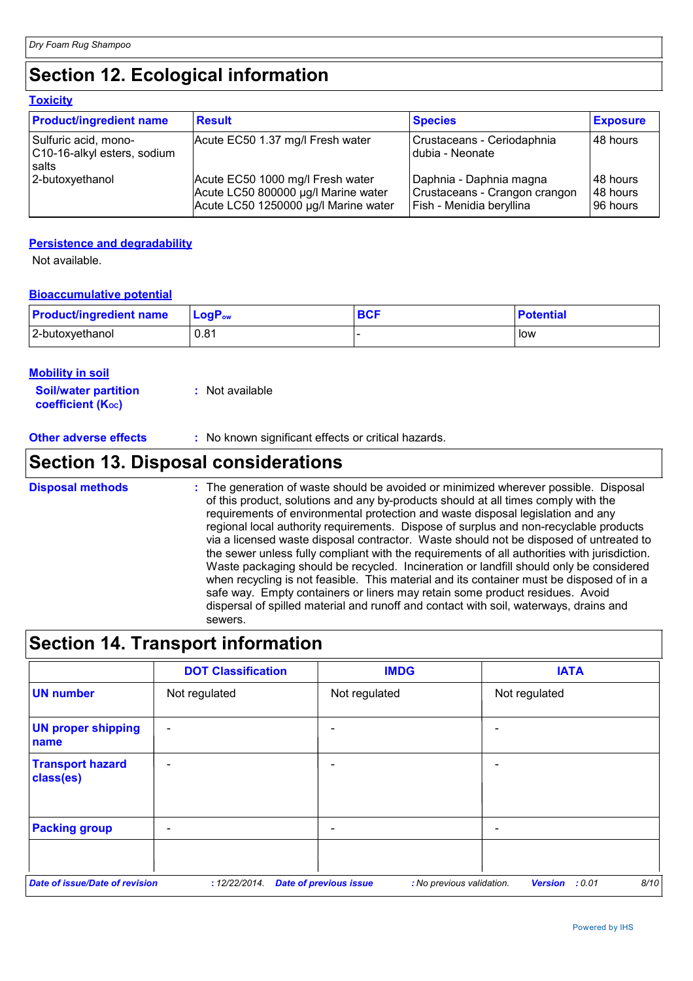**Toxicity**

## **Section 12. Ecological information**

| <u>TUAIGHY</u>                                               |                                                                                                                 |                                                                                      |                                    |  |  |
|--------------------------------------------------------------|-----------------------------------------------------------------------------------------------------------------|--------------------------------------------------------------------------------------|------------------------------------|--|--|
| <b>Product/ingredient name</b>                               | <b>Result</b>                                                                                                   | <b>Species</b>                                                                       | <b>Exposure</b>                    |  |  |
| Sulfuric acid, mono-<br>C10-16-alkyl esters, sodium<br>salts | Acute EC50 1.37 mg/l Fresh water                                                                                | Crustaceans - Ceriodaphnia<br>dubia - Neonate                                        | 48 hours                           |  |  |
| 2-butoxyethanol                                              | Acute EC50 1000 mg/l Fresh water<br>Acute LC50 800000 µg/l Marine water<br>Acute LC50 1250000 µg/l Marine water | Daphnia - Daphnia magna<br>Crustaceans - Crangon crangon<br>Fish - Menidia beryllina | l 48 hours<br>48 hours<br>96 hours |  |  |

#### **Persistence and degradability**

Not available.

#### **Bioaccumulative potential**

| <b>Product/ingredient name</b> | ∣ LoqP <sub>ow</sub> | <b>BCF</b> | <b>Potential</b> |
|--------------------------------|----------------------|------------|------------------|
| 2-butoxyethanol                | 0.81                 |            | low              |

#### **Mobility in soil**

| <b>Soil/water partition</b> | : Not available |
|-----------------------------|-----------------|
| <b>coefficient (Koc)</b>    |                 |

**Other adverse effects** : No known significant effects or critical hazards.

### **Section 13. Disposal considerations**

The generation of waste should be avoided or minimized wherever possible. Disposal of this product, solutions and any by-products should at all times comply with the requirements of environmental protection and waste disposal legislation and any regional local authority requirements. Dispose of surplus and non-recyclable products via a licensed waste disposal contractor. Waste should not be disposed of untreated to the sewer unless fully compliant with the requirements of all authorities with jurisdiction. Waste packaging should be recycled. Incineration or landfill should only be considered when recycling is not feasible. This material and its container must be disposed of in a safe way. Empty containers or liners may retain some product residues. Avoid dispersal of spilled material and runoff and contact with soil, waterways, drains and sewers. **Disposal methods :**

### **Section 14. Transport information**

|                                       | <b>DOT Classification</b> | <b>IMDG</b>                                                | <b>IATA</b>                   |
|---------------------------------------|---------------------------|------------------------------------------------------------|-------------------------------|
| <b>UN number</b>                      | Not regulated             | Not regulated                                              | Not regulated                 |
| <b>UN proper shipping</b><br>name     | $\overline{\phantom{a}}$  |                                                            | -                             |
| <b>Transport hazard</b><br>class(es)  |                           |                                                            | -                             |
| <b>Packing group</b>                  | $\qquad \qquad$           |                                                            | $\overline{\phantom{0}}$      |
| <b>Date of issue/Date of revision</b> | : 12/22/2014.             | <b>Date of previous issue</b><br>: No previous validation. | 8/10<br><b>Version</b> : 0.01 |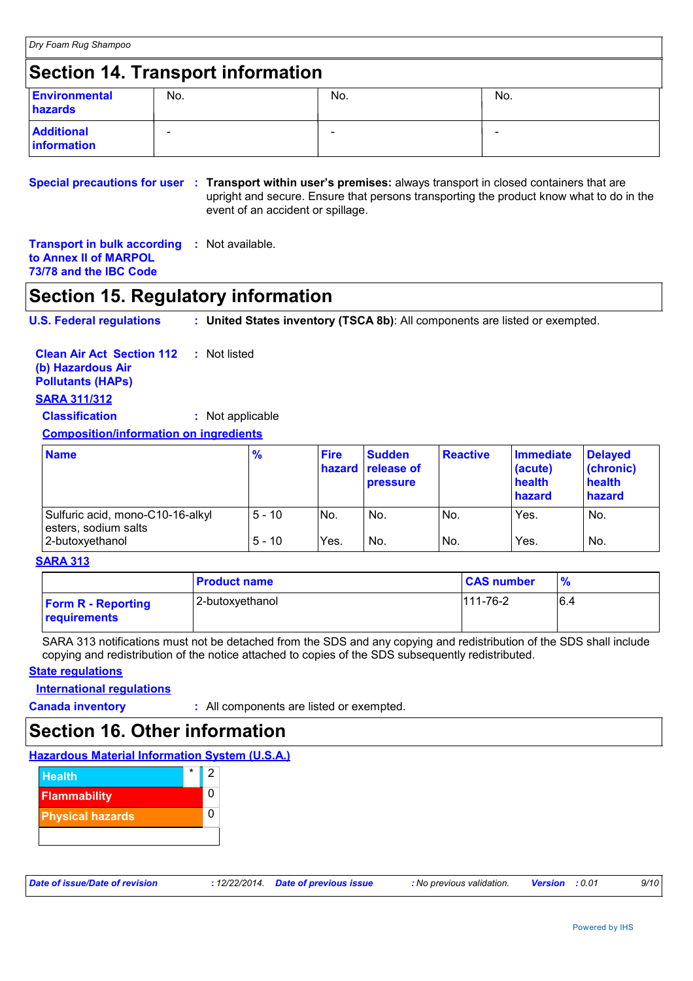### **Section 14. Transport information**

| <b>Environmental</b><br>hazards  | No.                      | No. | No. |
|----------------------------------|--------------------------|-----|-----|
| <b>Additional</b><br>information | $\overline{\phantom{a}}$ | -   | -   |

**Special precautions for user : Transport within user's premises: always transport in closed containers that are** upright and secure. Ensure that persons transporting the product know what to do in the event of an accident or spillage.

**Transport in bulk according :** Not available. **to Annex II of MARPOL 73/78 and the IBC Code**

### **Section 15. Regulatory information**

**U.S. Federal regulations : United States inventory (TSCA 8b)**: All components are listed or exempted.

**Clean Air Act Section 112 (b) Hazardous Air Pollutants (HAPs) :** Not listed **SARA 311/312**

**Classification :** Not applicable

**Composition/information on ingredients**

| <b>Name</b>                                                                 | $\frac{9}{6}$        | <b>Fire</b> | <b>Sudden</b><br><b>hazard</b> release of<br><b>pressure</b> | <b>Reactive</b> | <b>Immediate</b><br>(acute)<br>health<br>hazard | <b>Delayed</b><br>(chronic)<br>health<br>hazard |
|-----------------------------------------------------------------------------|----------------------|-------------|--------------------------------------------------------------|-----------------|-------------------------------------------------|-------------------------------------------------|
| Sulfuric acid, mono-C10-16-alkyl<br>esters, sodium salts<br>2-butoxyethanol | $5 - 10$<br>$5 - 10$ | No.<br>Yes. | No.<br>No.                                                   | No.<br>No.      | Yes.<br>Yes.                                    | No.<br>No.                                      |

#### **SARA 313**

|                                           | <b>Product name</b> | <b>CAS number</b> | $\frac{9}{6}$ |
|-------------------------------------------|---------------------|-------------------|---------------|
| <b>Form R - Reporting</b><br>requirements | 2-butoxyethanol     | $111 - 76 - 2$    | 6.4           |

SARA 313 notifications must not be detached from the SDS and any copying and redistribution of the SDS shall include copying and redistribution of the notice attached to copies of the SDS subsequently redistributed.

#### **State regulations**

**International regulations**

**Canada inventory :** All components are listed or exempted.

### **Section 16. Other information**

**Hazardous Material Information System (U.S.A.)**



|  | Date of issue/Date of revision |  |  |
|--|--------------------------------|--|--|
|--|--------------------------------|--|--|